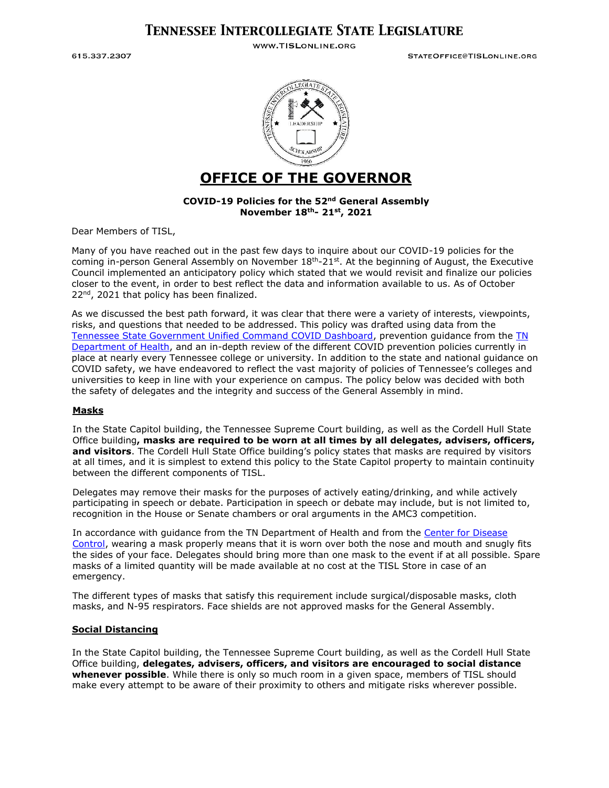## **TENNESSEE INTERCOLLEGIATE STATE LEGISLATURE**

615.337.2307

WWW.TISLONLINE.ORG

STATEOFFICE@TISLONLINE.ORG



**COVID-19 Policies for the 52nd General Assembly November 18th- 21st, 2021**

Dear Members of TISL,

Many of you have reached out in the past few days to inquire about our COVID-19 policies for the coming in-person General Assembly on November  $18<sup>th</sup>$ -21<sup>st</sup>. At the beginning of August, the Executive Council implemented an anticipatory policy which stated that we would revisit and finalize our policies closer to the event, in order to best reflect the data and information available to us. As of October 22<sup>nd</sup>, 2021 that policy has been finalized.

As we discussed the best path forward, it was clear that there were a variety of interests, viewpoints, risks, and questions that needed to be addressed. This policy was drafted using data from the [Tennessee State Government Unified Command COVID Dashboard,](https://experience.arcgis.com/experience/885e479b688b4750837ba1d291b85aed) prevention guidance from the [TN](https://covid19.tn.gov/prevention/)  [Department of Health,](https://covid19.tn.gov/prevention/) and an in-depth review of the different COVID prevention policies currently in place at nearly every Tennessee college or university. In addition to the state and national guidance on COVID safety, we have endeavored to reflect the vast majority of policies of Tennessee's colleges and universities to keep in line with your experience on campus. The policy below was decided with both the safety of delegates and the integrity and success of the General Assembly in mind.

## **Masks**

In the State Capitol building, the Tennessee Supreme Court building, as well as the Cordell Hull State Office building**, masks are required to be worn at all times by all delegates, advisers, officers, and visitors**. The Cordell Hull State Office building's policy states that masks are required by visitors at all times, and it is simplest to extend this policy to the State Capitol property to maintain continuity between the different components of TISL.

Delegates may remove their masks for the purposes of actively eating/drinking, and while actively participating in speech or debate. Participation in speech or debate may include, but is not limited to, recognition in the House or Senate chambers or oral arguments in the AMC3 competition.

In accordance with guidance from the TN Department of Health and from the [Center for Disease](https://www.cdc.gov/coronavirus/2019-ncov/prevent-getting-sick/about-face-coverings.html)  [Control,](https://www.cdc.gov/coronavirus/2019-ncov/prevent-getting-sick/about-face-coverings.html) wearing a mask properly means that it is worn over both the nose and mouth and snugly fits the sides of your face. Delegates should bring more than one mask to the event if at all possible. Spare masks of a limited quantity will be made available at no cost at the TISL Store in case of an emergency.

The different types of masks that satisfy this requirement include surgical/disposable masks, cloth masks, and N-95 respirators. Face shields are not approved masks for the General Assembly.

### **Social Distancing**

In the State Capitol building, the Tennessee Supreme Court building, as well as the Cordell Hull State Office building, **delegates, advisers, officers, and visitors are encouraged to social distance whenever possible**. While there is only so much room in a given space, members of TISL should make every attempt to be aware of their proximity to others and mitigate risks wherever possible.